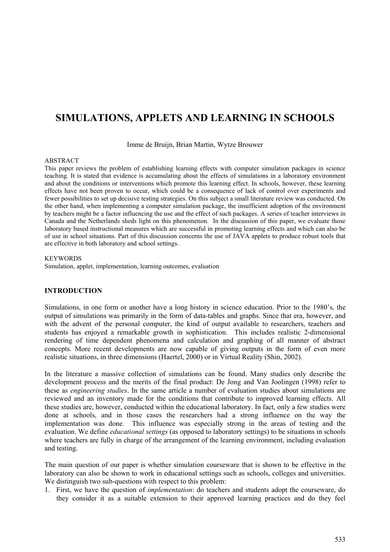# **SIMULATIONS, APPLETS AND LEARNING IN SCHOOLS**

Imme de Bruijn, Brian Martin, Wytze Brouwer

#### ABSTRACT

This paper reviews the problem of establishing learning effects with computer simulation packages in science teaching. It is stated that evidence is accumulating about the effects of simulations in a laboratory environment and about the conditions or interventions which promote this learning effect. In schools, however, these learning effects have not been proven to occur, which could be a consequence of lack of control over experiments and fewer possibilities to set up decisive testing strategies. On this subject a small literature review was conducted. On the other hand, when implementing a computer simulation package, the insufficient adoption of the environment by teachers might be a factor influencing the use and the effect of such packages. A series of teacher interviews in Canada and the Netherlands sheds light on this phenomenon. In the discussion of this paper, we evaluate those laboratory based instructional measures which are successful in promoting learning effects and which can also be of use in school situations. Part of this discussion concerns the use of JAVA applets to produce robust tools that are effective in both laboratory and school settings.

#### **KEYWORDS**

Simulation, applet, implementation, learning outcomes, evaluation

#### **INTRODUCTION**

Simulations, in one form or another have a long history in science education. Prior to the 1980's, the output of simulations was primarily in the form of data-tables and graphs. Since that era, however, and with the advent of the personal computer, the kind of output available to researchers, teachers and students has enjoyed a remarkable growth in sophistication. This includes realistic 2-dimensional rendering of time dependent phenomena and calculation and graphing of all manner of abstract concepts. More recent developments are now capable of giving outputs in the form of even more realistic situations, in three dimensions (Haertel, 2000) or in Virtual Reality (Shin, 2002).

In the literature a massive collection of simulations can be found. Many studies only describe the development process and the merits of the final product: De Jong and Van Joolingen (1998) refer to these as *engineering studies*. In the same article a number of evaluation studies about simulations are reviewed and an inventory made for the conditions that contribute to improved learning effects. All these studies are, however, conducted within the educational laboratory. In fact, only a few studies were done at schools, and in those cases the researchers had a strong influence on the way the implementation was done. This influence was especially strong in the areas of testing and the evaluation. We define *educational settings* (as opposed to laboratory settings) to be situations in schools where teachers are fully in charge of the arrangement of the learning environment, including evaluation and testing.

The main question of our paper is whether simulation courseware that is shown to be effective in the laboratory can also be shown to work in educational settings such as schools, colleges and universities. We distinguish two sub-questions with respect to this problem:

1. First, we have the question of *implementation*: do teachers and students adopt the courseware, do they consider it as a suitable extension to their approved learning practices and do they feel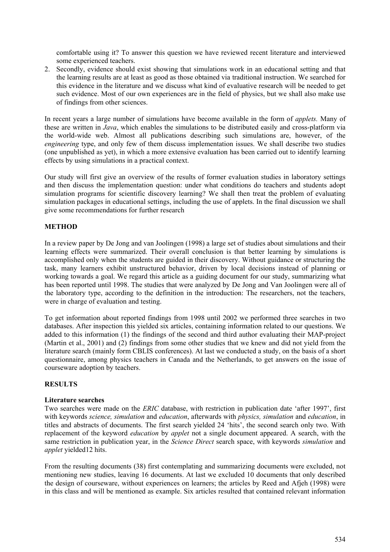comfortable using it? To answer this question we have reviewed recent literature and interviewed some experienced teachers.

2. Secondly, evidence should exist showing that simulations work in an educational setting and that the learning results are at least as good as those obtained via traditional instruction. We searched for this evidence in the literature and we discuss what kind of evaluative research will be needed to get such evidence. Most of our own experiences are in the field of physics, but we shall also make use of findings from other sciences.

In recent years a large number of simulations have become available in the form of *applets.* Many of these are written in *Java*, which enables the simulations to be distributed easily and cross-platform via the world-wide web. Almost all publications describing such simulations are, however, of the *engineering* type, and only few of them discuss implementation issues. We shall describe two studies (one unpublished as yet), in which a more extensive evaluation has been carried out to identify learning effects by using simulations in a practical context.

Our study will first give an overview of the results of former evaluation studies in laboratory settings and then discuss the implementation question: under what conditions do teachers and students adopt simulation programs for scientific discovery learning? We shall then treat the problem of evaluating simulation packages in educational settings, including the use of applets. In the final discussion we shall give some recommendations for further research

# **METHOD**

In a review paper by De Jong and van Joolingen (1998) a large set of studies about simulations and their learning effects were summarized. Their overall conclusion is that better learning by simulations is accomplished only when the students are guided in their discovery. Without guidance or structuring the task, many learners exhibit unstructured behavior, driven by local decisions instead of planning or working towards a goal. We regard this article as a guiding document for our study, summarizing what has been reported until 1998. The studies that were analyzed by De Jong and Van Joolingen were all of the laboratory type, according to the definition in the introduction: The researchers, not the teachers, were in charge of evaluation and testing.

To get information about reported findings from 1998 until 2002 we performed three searches in two databases. After inspection this yielded six articles, containing information related to our questions. We added to this information (1) the findings of the second and third author evaluating their MAP-project (Martin et al., 2001) and (2) findings from some other studies that we knew and did not yield from the literature search (mainly form CBLIS conferences). At last we conducted a study, on the basis of a short questionnaire, among physics teachers in Canada and the Netherlands, to get answers on the issue of courseware adoption by teachers.

### **RESULTS**

### **Literature searches**

Two searches were made on the *ERIC* database, with restriction in publication date 'after 1997', first with keywords *science, simulation* and *education*, afterwards with *physics, simulation* and *education*, in titles and abstracts of documents. The first search yielded 24 'hits', the second search only two. With replacement of the keyword *education* by *applet* not a single document appeared. A search, with the same restriction in publication year, in the *Science Direct* search space, with keywords *simulation* and *applet* yielded12 hits.

From the resulting documents (38) first contemplating and summarizing documents were excluded, not mentioning new studies, leaving 16 documents. At last we excluded 10 documents that only described the design of courseware, without experiences on learners; the articles by Reed and Afjeh (1998) were in this class and will be mentioned as example. Six articles resulted that contained relevant information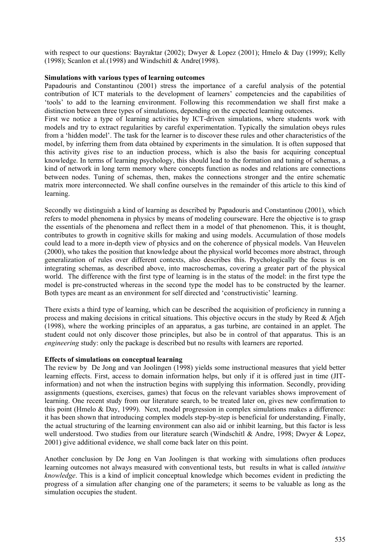with respect to our questions: Bayraktar (2002); Dwyer & Lopez (2001); Hmelo & Day (1999); Kelly (1998); Scanlon et al.(1998) and Windschitl & Andre(1998).

#### **Simulations with various types of learning outcomes**

Papadouris and Constantinou (2001) stress the importance of a careful analysis of the potential contribution of ICT materials to the development of learners' competencies and the capabilities of 'tools' to add to the learning environment. Following this recommendation we shall first make a distinction between three types of simulations, depending on the expected learning outcomes.

First we notice a type of learning activities by ICT-driven simulations, where students work with models and try to extract regularities by careful experimentation. Typically the simulation obeys rules from a 'hidden model'. The task for the learner is to discover these rules and other characteristics of the model, by inferring them from data obtained by experiments in the simulation. It is often supposed that this activity gives rise to an induction process, which is also the basis for acquiring conceptual knowledge. In terms of learning psychology, this should lead to the formation and tuning of schemas, a kind of network in long term memory where concepts function as nodes and relations are connections between nodes. Tuning of schemas, then, makes the connections stronger and the entire schematic matrix more interconnected. We shall confine ourselves in the remainder of this article to this kind of learning.

Secondly we distinguish a kind of learning as described by Papadouris and Constantinou (2001), which refers to model phenomena in physics by means of modeling courseware. Here the objective is to grasp the essentials of the phenomena and reflect them in a model of that phenomenon. This, it is thought, contributes to growth in cognitive skills for making and using models. Accumulation of those models could lead to a more in-depth view of physics and on the coherence of physical models. Van Heuvelen (2000), who takes the position that knowledge about the physical world becomes more abstract, through generalization of rules over different contexts, also describes this. Psychologically the focus is on integrating schemas, as described above, into macroschemas, covering a greater part of the physical world. The difference with the first type of learning is in the status of the model: in the first type the model is pre-constructed whereas in the second type the model has to be constructed by the learner. Both types are meant as an environment for self directed and 'constructivistic' learning.

There exists a third type of learning, which can be described the acquisition of proficiency in running a process and making decisions in critical situations. This objective occurs in the study by Reed  $\&$  Afjeh (1998), where the working principles of an apparatus, a gas turbine, are contained in an applet. The student could not only discover those principles, but also be in control of that apparatus. This is an *engineering* study: only the package is described but no results with learners are reported.

#### **Effects of simulations on conceptual learning**

The review by De Jong and van Joolingen (1998) yields some instructional measures that yield better learning effects. First, access to domain information helps, but only if it is offered just in time (JITinformation) and not when the instruction begins with supplying this information. Secondly, providing assignments (questions, exercises, games) that focus on the relevant variables shows improvement of learning. One recent study from our literature search, to be treated later on, gives new confirmation to this point (Hmelo & Day, 1999). Next, model progression in complex simulations makes a difference: it has been shown that introducing complex models step-by-step is beneficial for understanding. Finally, the actual structuring of the learning environment can also aid or inhibit learning, but this factor is less well understood. Two studies from our literature search (Windschitl & Andre, 1998; Dwyer & Lopez, 2001) give additional evidence, we shall come back later on this point.

Another conclusion by De Jong en Van Joolingen is that working with simulations often produces learning outcomes not always measured with conventional tests, but results in what is called *intuitive knowledge*. This is a kind of implicit conceptual knowledge which becomes evident in predicting the progress of a simulation after changing one of the parameters; it seems to be valuable as long as the simulation occupies the student.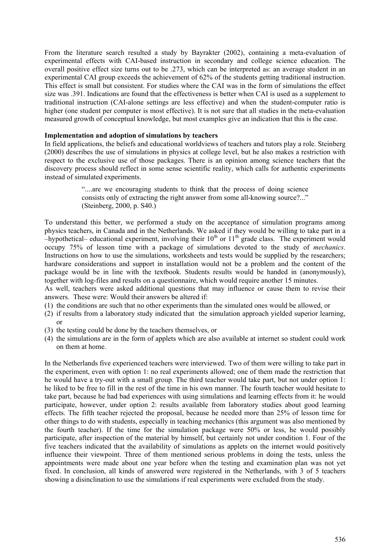From the literature search resulted a study by Bayrakter (2002), containing a meta-evaluation of experimental effects with CAI-based instruction in secondary and college science education. The overall positive effect size turns out to be .273, which can be interpreted as: an average student in an experimental CAI group exceeds the achievement of 62% of the students getting traditional instruction. This effect is small but consistent. For studies where the CAI was in the form of simulations the effect size was .391. Indications are found that the effectiveness is better when CAI is used as a supplement to traditional instruction (CAI-alone settings are less effective) and when the student-computer ratio is higher (one student per computer is most effective). It is not sure that all studies in the meta-evaluation measured growth of conceptual knowledge, but most examples give an indication that this is the case.

#### **Implementation and adoption of simulations by teachers**

In field applications, the beliefs and educational worldviews of teachers and tutors play a role. Steinberg (2000) describes the use of simulations in physics at college level, but he also makes a restriction with respect to the exclusive use of those packages. There is an opinion among science teachers that the discovery process should reflect in some sense scientific reality, which calls for authentic experiments instead of simulated experiments.

> "....are we encouraging students to think that the process of doing science consists only of extracting the right answer from some all-knowing source?..." (Steinberg, 2000, p. S40.)

To understand this better, we performed a study on the acceptance of simulation programs among physics teachers, in Canada and in the Netherlands. We asked if they would be willing to take part in a  $-$ hypothetical– educational experiment, involving their 10<sup>th</sup> or 11<sup>th</sup> grade class. The experiment would occupy 75% of lesson time with a package of simulations devoted to the study of *mechanics.*  Instructions on how to use the simulations, worksheets and tests would be supplied by the researchers; hardware considerations and support in installation would not be a problem and the content of the package would be in line with the textbook. Students results would be handed in (anonymously), together with log-files and results on a questionnaire, which would require another 15 minutes.

As well, teachers were asked additional questions that may influence or cause them to revise their answers. These were: Would their answers be altered if:

- (1) the conditions are such that no other experiments than the simulated ones would be allowed, or
- (2) if results from a laboratory study indicated that the simulation approach yielded superior learning, or
- (3) the testing could be done by the teachers themselves, or
- (4) the simulations are in the form of applets which are also available at internet so student could work on them at home.

In the Netherlands five experienced teachers were interviewed. Two of them were willing to take part in the experiment, even with option 1: no real experiments allowed; one of them made the restriction that he would have a try-out with a small group. The third teacher would take part, but not under option 1: he liked to be free to fill in the rest of the time in his own manner. The fourth teacher would hesitate to take part, because he had bad experiences with using simulations and learning effects from it: he would participate, however, under option 2: results available from laboratory studies about good learning effects. The fifth teacher rejected the proposal, because he needed more than 25% of lesson time for other things to do with students, especially in teaching mechanics (this argument was also mentioned by the fourth teacher). If the time for the simulation package were 50% or less, he would possibly participate, after inspection of the material by himself, but certainly not under condition 1. Four of the five teachers indicated that the availability of simulations as applets on the internet would positively influence their viewpoint. Three of them mentioned serious problems in doing the tests, unless the appointments were made about one year before when the testing and examination plan was not yet fixed. In conclusion, all kinds of answered were registered in the Netherlands, with 3 of 5 teachers showing a disinclination to use the simulations if real experiments were excluded from the study.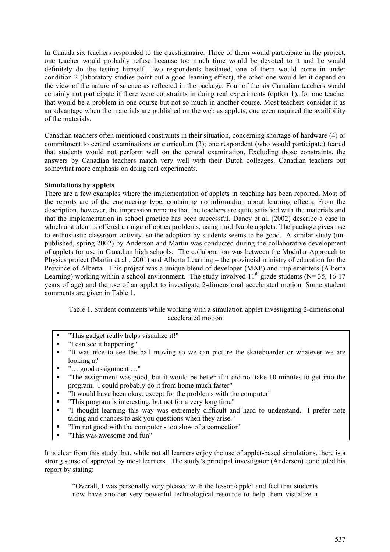In Canada six teachers responded to the questionnaire. Three of them would participate in the project, one teacher would probably refuse because too much time would be devoted to it and he would definitely do the testing himself. Two respondents hesitated, one of them would come in under condition 2 (laboratory studies point out a good learning effect), the other one would let it depend on the view of the nature of science as reflected in the package. Four of the six Canadian teachers would certainly not participate if there were constraints in doing real experiments (option 1), for one teacher that would be a problem in one course but not so much in another course. Most teachers consider it as an advantage when the materials are published on the web as applets, one even required the availibility of the materials.

Canadian teachers often mentioned constraints in their situation, concerning shortage of hardware (4) or commitment to central examinations or curriculum (3); one respondent (who would participate) feared that students would not perform well on the central examination. Excluding those constraints, the answers by Canadian teachers match very well with their Dutch colleages. Canadian teachers put somewhat more emphasis on doing real experiments.

### **Simulations by applets**

There are a few examples where the implementation of applets in teaching has been reported. Most of the reports are of the engineering type, containing no information about learning effects. From the description, however, the impression remains that the teachers are quite satisfied with the materials and that the implementation in school practice has been successful. Dancy et al. (2002) describe a case in which a student is offered a range of optics problems, using modifyable applets. The package gives rise to enthusiastic classroom activity, so the adoption by students seems to be good. A similar study (unpublished, spring 2002) by Anderson and Martin was conducted during the collaborative development of applets for use in Canadian high schools. The collaboration was between the Modular Approach to Physics project (Martin et al , 2001) and Alberta Learning – the provincial ministry of education for the Province of Alberta. This project was a unique blend of developer (MAP) and implementers (Alberta Learning) working within a school environment. The study involved  $11<sup>th</sup>$  grade students (N= 35, 16-17 years of age) and the use of an applet to investigate 2-dimensional accelerated motion. Some student comments are given in Table 1.

Table 1. Student comments while working with a simulation applet investigating 2-dimensional accelerated motion

- "This gadget really helps visualize it!"
- "I can see it happening."
- "It was nice to see the ball moving so we can picture the skateboarder or whatever we are looking at"
- "… good assignment …"
- "The assignment was good, but it would be better if it did not take 10 minutes to get into the program. I could probably do it from home much faster"
- "It would have been okay, except for the problems with the computer"
- "This program is interesting, but not for a very long time"
- "I thought learning this way was extremely difficult and hard to understand. I prefer note taking and chances to ask you questions when they arise."
- "I'm not good with the computer too slow of a connection"
- "This was awesome and fun"

It is clear from this study that, while not all learners enjoy the use of applet-based simulations, there is a strong sense of approval by most learners. The study's principal investigator (Anderson) concluded his report by stating:

"Overall, I was personally very pleased with the lesson/applet and feel that students now have another very powerful technological resource to help them visualize a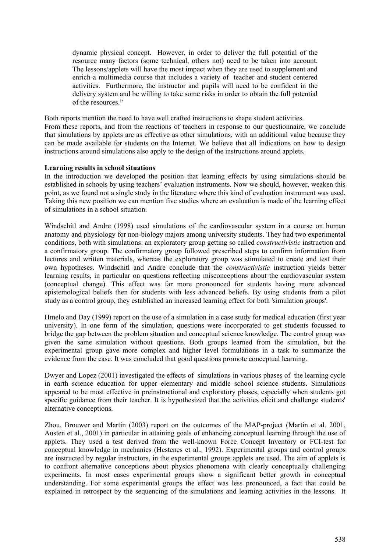dynamic physical concept. However, in order to deliver the full potential of the resource many factors (some technical, others not) need to be taken into account. The lessons/applets will have the most impact when they are used to supplement and enrich a multimedia course that includes a variety of teacher and student centered activities. Furthermore, the instructor and pupils will need to be confident in the delivery system and be willing to take some risks in order to obtain the full potential of the resources."

Both reports mention the need to have well crafted instructions to shape student activities.

From these reports, and from the reactions of teachers in response to our questionnaire, we conclude that simulations by applets are as effective as other simulations, with an additional value because they can be made available for students on the Internet. We believe that all indications on how to design instructions around simulations also apply to the design of the instructions around applets.

#### **Learning results in school situations**

In the introduction we developed the position that learning effects by using simulations should be established in schools by using teachers' evaluation instruments. Now we should, however, weaken this point, as we found not a single study in the literature where this kind of evaluation instrument was used. Taking this new position we can mention five studies where an evaluation is made of the learning effect of simulations in a school situation.

Windschitl and Andre (1998) used simulations of the cardiovascular system in a course on human anatomy and physiology for non-biology majors among university students. They had two experimental conditions, both with simulations: an exploratory group getting so called *constructivistic* instruction and a confirmatory group. The confirmatory group followed prescribed steps to confirm information from lectures and written materials, whereas the exploratory group was stimulated to create and test their own hypotheses. Windschitl and Andre conclude that the *constructivistic* instruction yields better learning results, in particular on questions reflecting misconceptions about the cardiovascular system (conceptual change). This effect was far more pronounced for students having more advanced epistemological beliefs then for students with less advanced beliefs. By using students from a pilot study as a control group, they established an increased learning effect for both 'simulation groups'.

Hmelo and Day (1999) report on the use of a simulation in a case study for medical education (first year university). In one form of the simulation, questions were incorporated to get students focussed to bridge the gap between the problem situation and conceptual science knowledge. The control group was given the same simulation without questions. Both groups learned from the simulation, but the experimental group gave more complex and higher level formulations in a task to summarize the evidence from the case. It was concluded that good questions promote conceptual learning.

Dwyer and Lopez (2001) investigated the effects of simulations in various phases of the learning cycle in earth science education for upper elementary and middle school science students. Simulations appeared to be most effective in preinstructional and exploratory phases, especially when students got specific guidance from their teacher. It is hypothesized that the activities elicit and challenge students' alternative conceptions.

Zhou, Brouwer and Martin (2003) report on the outcomes of the MAP-project (Martin et al. 2001, Austen et al., 2001) in particular in attaining goals of enhancing conceptual learning through the use of applets. They used a test derived from the well-known Force Concept Inventory or FCI-test for conceptual knowledge in mechanics (Hestenes et al., 1992). Experimental groups and control groups are instructed by regular instructors, in the experimental groups applets are used. The aim of applets is to confront alternative conceptions about physics phenomena with clearly conceptually challenging experiments. In most cases experimental groups show a significant better growth in conceptual understanding. For some experimental groups the effect was less pronounced, a fact that could be explained in retrospect by the sequencing of the simulations and learning activities in the lessons. It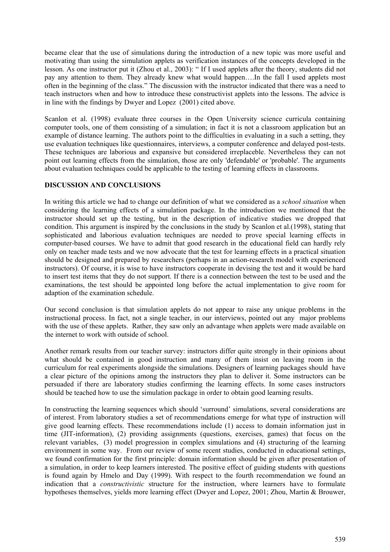became clear that the use of simulations during the introduction of a new topic was more useful and motivating than using the simulation applets as verification instances of the concepts developed in the lesson. As one instructor put it (Zhou et al., 2003): " If I used applets after the theory, students did not pay any attention to them. They already knew what would happen….In the fall I used applets most often in the beginning of the class." The discussion with the instructor indicated that there was a need to teach instructors when and how to introduce these constructivist applets into the lessons. The advice is in line with the findings by Dwyer and Lopez (2001) cited above.

Scanlon et al. (1998) evaluate three courses in the Open University science curricula containing computer tools, one of them consisting of a simulation; in fact it is not a classroom application but an example of distance learning. The authors point to the difficulties in evaluating in a such a setting, they use evaluation techniques like questionnaires, interviews, a computer conference and delayed post-tests. These techniques are laborious and expansive but considered irreplaceble. Nevertheless they can not point out learning effects from the simulation, those are only 'defendable' or 'probable'. The arguments about evaluation techniques could be applicable to the testing of learning effects in classrooms.

### **DISCUSSION AND CONCLUSIONS**

In writing this article we had to change our definition of what we considered as a *school situation* when considering the learning effects of a simulation package. In the introduction we mentioned that the instructor should set up the testing, but in the description of indicative studies we dropped that condition. This argument is inspired by the conclusions in the study by Scanlon et al.(1998), stating that sophisticated and laborious evaluation techniques are needed to prove special learning effects in computer-based courses. We have to admit that good research in the educational field can hardly rely only on teacher made tests and we now advocate that the test for learning effects in a practical situation should be designed and prepared by researchers (perhaps in an action-research model with experienced instructors). Of course, it is wise to have instructors cooperate in devising the test and it would be hard to insert test items that they do not support. If there is a connection between the test to be used and the examinations, the test should be appointed long before the actual implementation to give room for adaption of the examination schedule.

Our second conclusion is that simulation applets do not appear to raise any unique problems in the instructional process. In fact, not a single teacher, in our interviews, pointed out any major problems with the use of these applets. Rather, they saw only an advantage when applets were made available on the internet to work with outside of school.

Another remark results from our teacher survey: instructors differ quite strongly in their opinions about what should be contained in good instruction and many of them insist on leaving room in the curriculum for real experiments alongside the simulations. Designers of learning packages should have a clear picture of the opinions among the instructors they plan to deliver it. Some instructors can be persuaded if there are laboratory studies confirming the learning effects. In some cases instructors should be teached how to use the simulation package in order to obtain good learning results.

In constructing the learning sequences which should 'surround' simulations, several considerations are of interest. From laboratory studies a set of recommendations emerge for what type of instruction will give good learning effects. These recommendations include (1) access to domain information just in time (JIT-information), (2) providing assignments (questions, exercises, games) that focus on the relevant variables, (3) model progression in complex simulations and (4) structuring of the learning environment in some way. From our review of some recent studies, conducted in educational settings, we found confirmation for the first principle: domain information should be given after presentation of a simulation, in order to keep learners interested. The positive effect of guiding students with questions is found again by Hmelo and Day (1999). With respect to the fourth recommendation we found an indication that a *constructivistic* structure for the instruction, where learners have to formulate hypotheses themselves, yields more learning effect (Dwyer and Lopez, 2001; Zhou, Martin & Brouwer,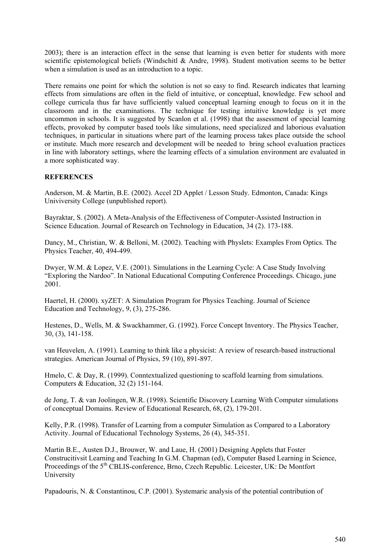2003); there is an interaction effect in the sense that learning is even better for students with more scientific epistemological beliefs (Windschitl & Andre, 1998). Student motivation seems to be better when a simulation is used as an introduction to a topic.

There remains one point for which the solution is not so easy to find. Research indicates that learning effects from simulations are often in the field of intuitive, or conceptual, knowledge. Few school and college curricula thus far have sufficiently valued conceptual learning enough to focus on it in the classroom and in the examinations. The technique for testing intuitive knowledge is yet more uncommon in schools. It is suggested by Scanlon et al. (1998) that the assessment of special learning effects, provoked by computer based tools like simulations, need specialized and laborious evaluation techniques, in particular in situations where part of the learning process takes place outside the school or institute. Much more research and development will be needed to bring school evaluation practices in line with laboratory settings, where the learning effects of a simulation environment are evaluated in a more sophisticated way.

## **REFERENCES**

Anderson, M. & Martin, B.E. (2002). Accel 2D Applet / Lesson Study. Edmonton, Canada: Kings Univiversity College (unpublished report).

Bayraktar, S. (2002). A Meta-Analysis of the Effectiveness of Computer-Assisted Instruction in Science Education. Journal of Research on Technology in Education, 34 (2). 173-188.

Dancy, M., Christian, W. & Belloni, M. (2002). Teaching with Physlets: Examples From Optics. The Physics Teacher, 40, 494-499.

Dwyer, W.M. & Lopez, V.E. (2001). Simulations in the Learning Cycle: A Case Study Involving "Exploring the Nardoo". In National Educational Computing Conference Proceedings. Chicago, june 2001.

Haertel, H. (2000). xyZET: A Simulation Program for Physics Teaching. Journal of Science Education and Technology, 9, (3), 275-286.

Hestenes, D., Wells, M. & Swackhammer, G. (1992). Force Concept Inventory. The Physics Teacher, 30, (3), 141-158.

van Heuvelen, A. (1991). Learning to think like a physicist: A review of research-based instructional strategies. American Journal of Physics, 59 (10), 891-897.

Hmelo, C. & Day, R. (1999). Conntextualized questioning to scaffold learning from simulations. Computers & Education, 32 (2) 151-164.

de Jong, T. & van Joolingen, W.R. (1998). Scientific Discovery Learning With Computer simulations of conceptual Domains. Review of Educational Research, 68, (2), 179-201.

Kelly, P.R. (1998). Transfer of Learning from a computer Simulation as Compared to a Laboratory Activity. Journal of Educational Technology Systems, 26 (4), 345-351.

Martin B.E., Austen D.J., Brouwer, W. and Laue, H. (2001) Designing Applets that Foster Construcitivsit Learning and Teaching In G.M. Chapman (ed), Computer Based Learning in Science, Proceedings of the 5<sup>th</sup> CBLIS-conference, Brno, Czech Republic. Leicester, UK: De Montfort University

Papadouris, N. & Constantinou, C.P. (2001). Systemaric analysis of the potential contribution of